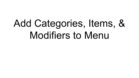# Add Categories, Items, & Modifiers to Menu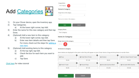## Add [Categories](https://www.clover.com/us/en/help/use-item-categories/)

| <b>Test Category</b>          |  |
|-------------------------------|--|
|                               |  |
| <b>Items in Category</b>      |  |
| Assign items to this category |  |

There are no items in the category.

- 1) On your Clover device, open the Inventory app.
- 2) Tap Categories.
	- a) At the lower right corner, tap Add .
- 3) Enter the name for this new category and then tap Done.
- 4) (Optional) Add a new item to this category:
	- a) At the lower right corner, tap Add .
	- b) Enter new item details and then tap Save. For more, check out the steps for [adding a](https://www.clover.com/us/en/help/build-a-merchandise-inventory-or-restaurant-menu) [new item.](https://www.clover.com/us/en/help/build-a-merchandise-inventory-or-restaurant-menu)
- 5) (Optional) Add existing items to this category:
	- a) At the top right, tap Edit .
	- b) Check the box for each item you want to add.
	- c) Tap Save.

### [Click here](https://youtu.be/YPFbMj3LH6Q?list=PLpym-lLp3hkI4AB-eAaolRIPZQpN3-DZh&t=29) for video tutorial

| Save | Cancel |
|------|--------|
|      |        |

#### **Category Name**

**Test Category** 

### **Items in Category**

#### Assign items to this category



#### 10 items in category

Items below are displayed in the same order they will appear on your Clover device. Drag and drop items to reorder them.

| $\equiv$ Pizza        | $\equiv$ Fried Filet Of Sole       | ×<br>$\equiv$ Chicken      | $\equiv$ Short Stack French Toast |
|-----------------------|------------------------------------|----------------------------|-----------------------------------|
| \$5.00                | \$11.00                            | \$8.00                     | \$4.95                            |
| $\equiv$ French Toast | $\mathbf x$<br>$\equiv$ House Wrap | B<br>E Avocado Quinoa Bowl | $\equiv$ Avocado With Siracha     |
| \$5.95                | \$11.95                            | \$12.95                    | \$10.95                           |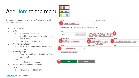### Add  $Item$  $Item$  $Item$  to the menu</u>

Open up Inventory app, click on on "Items" on the left side of the screen

- 1. Name the item
- 2. Set price:
	- a. Fixed standard price
	- b. Variable custom price every time you add to order
	- c. Per unit \$5 per pound
- 3. Add item to category
	- a. Example adding ice cream to dessert category
- 4. Modifier groups
	- a. Example modifier "side choices" (fries, salad, fruit)
- 5. Labels
	- a. Label item to kithen printer
- 6. Taxes make sure item has tax rate
- 7. Save.
	- a. Item now added to inventory



| Name                                                   |                  |        | <b>Alternate Name</b>              |                                       |  |  |  |
|--------------------------------------------------------|------------------|--------|------------------------------------|---------------------------------------|--|--|--|
| name of menu item                                      |                  |        |                                    |                                       |  |  |  |
| Item options:                                          | Show in Register | $\Box$ | Non-revenue item                   |                                       |  |  |  |
| Price                                                  |                  |        |                                    |                                       |  |  |  |
| \$0,00                                                 | Fixed            |        | Set fixed, variable or per unit    | 2                                     |  |  |  |
| <b>Category Name</b>                                   |                  |        | <b>Modifier Groups</b>             | Labels                                |  |  |  |
| 3<br>Add item to category                              |                  | ٠      | Add modifiers group<br>(Ex. Sides) | 5<br>Label item to kitchen printer, - |  |  |  |
| <b>Taxes</b>                                           |                  |        | <b>Product Code</b>                | <b>SKU</b>                            |  |  |  |
| Taxes<br>add tax rate                                  |                  | ÷      |                                    |                                       |  |  |  |
| <b>Default Taxes and Fees</b><br>$\boldsymbol{\Omega}$ |                  |        |                                    |                                       |  |  |  |
|                                                        |                  |        |                                    |                                       |  |  |  |
|                                                        |                  |        |                                    |                                       |  |  |  |
| Save                                                   |                  |        | Cancel                             |                                       |  |  |  |

#### [Click here](https://youtu.be/YPFbMj3LH6Q?list=PLpym-lLp3hkI4AB-eAaolRIPZQpN3-DZh&t=48) for video tutorial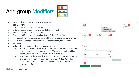### Add group **Modifiers**



- 1. On your Clover device, open the Inventory app. Tap Modifiers.
	- At the lower right corner, tap Add.
- 2. Enter a modifier group name and tap DONE. (Ex. Meat)
- 3. At the lower left, tap ADD MODIFIER.
- 4. Enter a modifier name. (Ex. Chicken, Lamb, Befteki, Pork, Gyro)
- 5. If you are showing alternate names (Ex. Chicken to appear as κοτόπουλο)
- 6. If you want to charge different prices for each modifier, add the price.
- 7. Tap Save.
- 8. Define what servers see when they take an order:
	- Min: From the drop-down list, tap and choose the minimum number of modifiers the server should select. (Ex. cooked meat. Modifiers are rare, medium rare, well done - the minimum is 1)
	- Max: From the drop-down list, tap and choose the maximum number of modifiers the server should be able to select. Tap Save. (Ex. cooked meat. Modifiers are rare, medium rare, well done - the maximum is 1)



[Click here](https://youtu.be/YPFbMj3LH6Q?list=PLpym-lLp3hkI4AB-eAaolRIPZQpN3-DZh&t=76) for video tutorial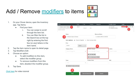### Add / Remove [modifiers](https://www.clover.com/us/en/help/use-item-modifiers/#add-or-remove-modifiers-from-items) to items



- 1. On your Clover device, open the Inventory app. Tap Items.
	- Find your item:
		- i. You can swipe to scroll through the item list.
		- ii. You can filter the list in the Search box at the top right by entering the first few (or any) letters in the item name.
- 2. Tap the item name to open its detail page.
- 3. Tap Modifiers Edit .
- 4. Choose an option:
	- To add modifiers to this item, select the modifier group.
	- To remove modifiers from this item, deselect the modifier group.
- 5. Tap Save.

### [Click here](https://youtu.be/YPFbMj3LH6Q?list=PLpym-lLp3hkI4AB-eAaolRIPZQpN3-DZh&t=135) for video tutorial

| Name                                                                |                                                              | Price  | Tax               | Product                                               | Categories            |              | <b>Modifier Groups</b>              | Labels |               |
|---------------------------------------------------------------------|--------------------------------------------------------------|--------|-------------------|-------------------------------------------------------|-----------------------|--------------|-------------------------------------|--------|---------------|
| 3. Ham & Swiss Cheese<br>3. HAM & SWISS CHEESE ID:<br>ABRWG2V0860R2 | -1                                                           | \$9.99 | Default           | SKU:                                                  |                       |              | On The Side<br>B. Coleslaw & Pickle |        | $\bullet$ 0 1 |
|                                                                     | Name                                                         |        |                   |                                                       | <b>Alternate Name</b> |              |                                     |        |               |
| 3                                                                   | 3. Ham & Swiss Cheese                                        |        |                   |                                                       | 3. HAM & SWISS CHEESE |              |                                     |        |               |
|                                                                     | Item options: 7 Show in Register 1 Non-revenue item<br>Price |        |                   |                                                       |                       |              |                                     |        |               |
|                                                                     | \$9.99                                                       | Fixed  |                   |                                                       | 4                     |              |                                     |        |               |
|                                                                     | <b>Category Name</b>                                         |        |                   | <b>Modifier Groups</b>                                |                       |              | Labels                              |        |               |
|                                                                     | Search Categories                                            |        | ÷                 | Search Modifier Groups                                |                       | $\mathbf{v}$ | Search Labels                       |        |               |
|                                                                     |                                                              |        |                   | <b>O</b> On The Side<br><b>Q</b> B. Coleslaw & Pickle |                       |              |                                     |        |               |
|                                                                     | Taxes                                                        |        |                   | <b>Product Code</b>                                   |                       |              | <b>SKU</b>                          |        |               |
|                                                                     | Taxes                                                        |        | ٠                 |                                                       |                       |              |                                     |        |               |
|                                                                     | <b>O</b> Default Taxes and Fees                              |        |                   |                                                       |                       |              |                                     |        |               |
|                                                                     | 5<br>Save                                                    |        | Save & Clone Item |                                                       | Cancel                |              |                                     |        |               |
|                                                                     |                                                              |        |                   |                                                       |                       |              |                                     |        |               |